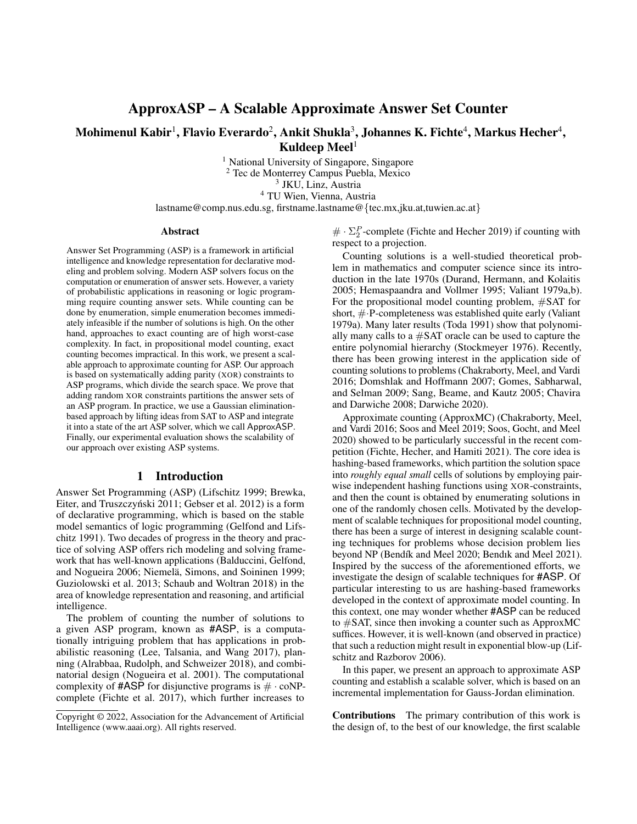# ApproxASP – A Scalable Approximate Answer Set Counter

# Mohimenul Kabir $^1$ , Flavio Everardo $^2$ , Ankit Shukla $^3$ , Johannes K. Fichte $^4$ , Markus Hecher $^4,$ Kuldeep Meel $<sup>1</sup>$ </sup>

<sup>1</sup> National University of Singapore, Singapore Tec de Monterrey Campus Puebla, Mexico JKU, Linz, Austria TU Wien, Vienna, Austria

lastname@comp.nus.edu.sg, firstname.lastname@{tec.mx,jku.at,tuwien.ac.at}

#### Abstract

Answer Set Programming (ASP) is a framework in artificial intelligence and knowledge representation for declarative modeling and problem solving. Modern ASP solvers focus on the computation or enumeration of answer sets. However, a variety of probabilistic applications in reasoning or logic programming require counting answer sets. While counting can be done by enumeration, simple enumeration becomes immediately infeasible if the number of solutions is high. On the other hand, approaches to exact counting are of high worst-case complexity. In fact, in propositional model counting, exact counting becomes impractical. In this work, we present a scalable approach to approximate counting for ASP. Our approach is based on systematically adding parity (XOR) constraints to ASP programs, which divide the search space. We prove that adding random XOR constraints partitions the answer sets of an ASP program. In practice, we use a Gaussian eliminationbased approach by lifting ideas from SAT to ASP and integrate it into a state of the art ASP solver, which we call ApproxASP. Finally, our experimental evaluation shows the scalability of our approach over existing ASP systems.

#### 1 Introduction

Answer Set Programming (ASP) (Lifschitz 1999; Brewka, Eiter, and Truszczyński 2011; Gebser et al. 2012) is a form of declarative programming, which is based on the stable model semantics of logic programming (Gelfond and Lifschitz 1991). Two decades of progress in the theory and practice of solving ASP offers rich modeling and solving framework that has well-known applications (Balduccini, Gelfond, and Nogueira 2006; Niemelä, Simons, and Soininen 1999; Guziolowski et al. 2013; Schaub and Woltran 2018) in the area of knowledge representation and reasoning, and artificial intelligence.

The problem of counting the number of solutions to a given ASP program, known as #ASP, is a computationally intriguing problem that has applications in probabilistic reasoning (Lee, Talsania, and Wang 2017), planning (Alrabbaa, Rudolph, and Schweizer 2018), and combinatorial design (Nogueira et al. 2001). The computational complexity of  $\#ASP$  for disjunctive programs is  $\# \cdot \text{coNP}$ complete (Fichte et al. 2017), which further increases to

 $\#\cdot\Sigma_2^P$ -complete (Fichte and Hecher 2019) if counting with respect to a projection.

Counting solutions is a well-studied theoretical problem in mathematics and computer science since its introduction in the late 1970s (Durand, Hermann, and Kolaitis 2005; Hemaspaandra and Vollmer 1995; Valiant 1979a,b). For the propositional model counting problem, #SAT for short, #·P-completeness was established quite early (Valiant 1979a). Many later results (Toda 1991) show that polynomially many calls to a #SAT oracle can be used to capture the entire polynomial hierarchy (Stockmeyer 1976). Recently, there has been growing interest in the application side of counting solutions to problems (Chakraborty, Meel, and Vardi 2016; Domshlak and Hoffmann 2007; Gomes, Sabharwal, and Selman 2009; Sang, Beame, and Kautz 2005; Chavira and Darwiche 2008; Darwiche 2020).

Approximate counting (ApproxMC) (Chakraborty, Meel, and Vardi 2016; Soos and Meel 2019; Soos, Gocht, and Meel 2020) showed to be particularly successful in the recent competition (Fichte, Hecher, and Hamiti 2021). The core idea is hashing-based frameworks, which partition the solution space into *roughly equal small* cells of solutions by employing pairwise independent hashing functions using XOR-constraints, and then the count is obtained by enumerating solutions in one of the randomly chosen cells. Motivated by the development of scalable techniques for propositional model counting, there has been a surge of interest in designing scalable counting techniques for problems whose decision problem lies beyond NP (Bendík and Meel 2020; Bendık and Meel 2021). Inspired by the success of the aforementioned efforts, we investigate the design of scalable techniques for #ASP. Of particular interesting to us are hashing-based frameworks developed in the context of approximate model counting. In this context, one may wonder whether #ASP can be reduced to #SAT, since then invoking a counter such as ApproxMC suffices. However, it is well-known (and observed in practice) that such a reduction might result in exponential blow-up (Lifschitz and Razborov 2006).

In this paper, we present an approach to approximate ASP counting and establish a scalable solver, which is based on an incremental implementation for Gauss-Jordan elimination.

Contributions The primary contribution of this work is the design of, to the best of our knowledge, the first scalable

Copyright © 2022, Association for the Advancement of Artificial Intelligence (www.aaai.org). All rights reserved.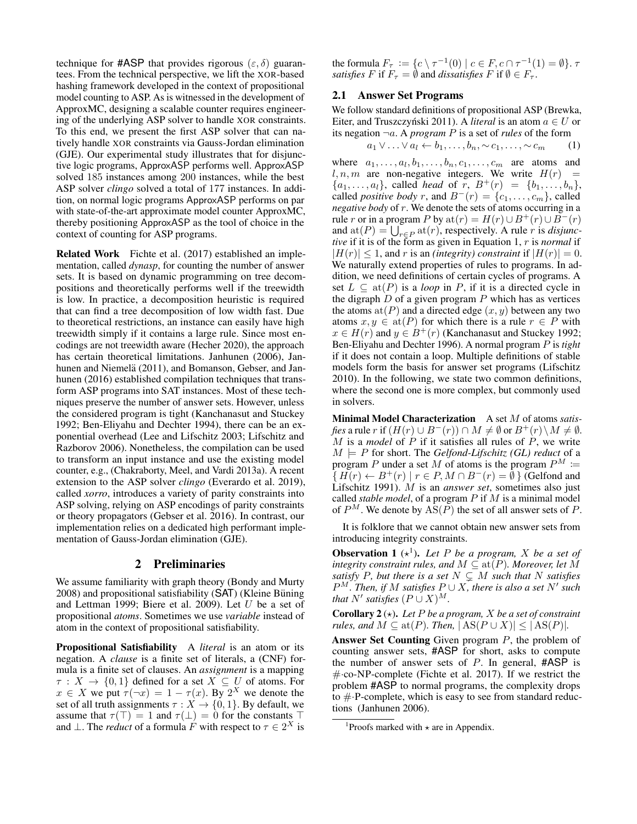technique for #ASP that provides rigorous  $(\varepsilon, \delta)$  guarantees. From the technical perspective, we lift the XOR-based hashing framework developed in the context of propositional model counting to ASP. As is witnessed in the development of ApproxMC, designing a scalable counter requires engineering of the underlying ASP solver to handle XOR constraints. To this end, we present the first ASP solver that can natively handle XOR constraints via Gauss-Jordan elimination (GJE). Our experimental study illustrates that for disjunctive logic programs, ApproxASP performs well. ApproxASP solved 185 instances among 200 instances, while the best ASP solver *clingo* solved a total of 177 instances. In addition, on normal logic programs ApproxASP performs on par with state-of-the-art approximate model counter ApproxMC, thereby positioning ApproxASP as the tool of choice in the context of counting for ASP programs.

Related Work Fichte et al. (2017) established an implementation, called *dynasp*, for counting the number of answer sets. It is based on dynamic programming on tree decompositions and theoretically performs well if the treewidth is low. In practice, a decomposition heuristic is required that can find a tree decomposition of low width fast. Due to theoretical restrictions, an instance can easily have high treewidth simply if it contains a large rule. Since most encodings are not treewidth aware (Hecher 2020), the approach has certain theoretical limitations. Janhunen (2006), Janhunen and Niemelä (2011), and Bomanson, Gebser, and Janhunen (2016) established compilation techniques that transform ASP programs into SAT instances. Most of these techniques preserve the number of answer sets. However, unless the considered program is tight (Kanchanasut and Stuckey 1992; Ben-Eliyahu and Dechter 1994), there can be an exponential overhead (Lee and Lifschitz 2003; Lifschitz and Razborov 2006). Nonetheless, the compilation can be used to transform an input instance and use the existing model counter, e.g., (Chakraborty, Meel, and Vardi 2013a). A recent extension to the ASP solver *clingo* (Everardo et al. 2019), called *xorro*, introduces a variety of parity constraints into ASP solving, relying on ASP encodings of parity constraints or theory propagators (Gebser et al. 2016). In contrast, our implementation relies on a dedicated high performant implementation of Gauss-Jordan elimination (GJE).

### 2 Preliminaries

We assume familiarity with graph theory (Bondy and Murty  $2008$ ) and propositional satisfiability (SAT) (Kleine Büning and Lettman 1999; Biere et al. 2009). Let U be a set of propositional *atoms*. Sometimes we use *variable* instead of atom in the context of propositional satisfiability.

Propositional Satisfiability A *literal* is an atom or its negation. A *clause* is a finite set of literals, a (CNF) formula is a finite set of clauses. An *assignment* is a mapping  $\tau : X \to \{0,1\}$  defined for a set  $X \subseteq U$  of atoms. For  $x \in X$  we put  $\tau(\neg x) = 1 - \tau(x)$ . By  $2^X$  we denote the set of all truth assignments  $\tau : X \to \{0, 1\}$ . By default, we assume that  $\tau(\top) = 1$  and  $\tau(\bot) = 0$  for the constants  $\top$ and  $\perp$ . The *reduct* of a formula F with respect to  $\tau \in 2^X$  is

the formula  $F_{\tau} := \{ c \setminus \tau^{-1}(0) \mid c \in F, c \cap \tau^{-1}(1) = \emptyset \}.$ *satisfies* F if  $F_\tau = \emptyset$  and *dissatisfies* F if  $\emptyset \in F_\tau$ .

### 2.1 Answer Set Programs

We follow standard definitions of propositional ASP (Brewka, Eiter, and Truszczyński 2011). A *literal* is an atom  $a \in U$  or its negation  $\neg a$ . A *program* P is a set of *rules* of the form

$$
a_1 \vee \ldots \vee a_l \leftarrow b_1, \ldots, b_n, \sim c_1, \ldots, \sim c_m \qquad (1)
$$

where  $a_1, \ldots, a_l, b_1, \ldots, b_n, c_1, \ldots, c_m$  are atoms and  $l, n, m$  are non-negative integers. We write  $H(r)$  =  $\{a_1, \ldots, a_l\}$ , called *head* of r,  $B^+(r) = \{b_1, \ldots, b_n\}$ , called *positive body* r, and  $B^{-}(r) = \{c_1, \ldots, c_m\}$ , called *negative body* of r. We denote the sets of atoms occurring in a rule r or in a program P by  $\text{at}(r) = H(r) \cup B^{+}(r) \cup B^{-}(r)$ and  $\text{at}(P) = \bigcup_{r \in P} \text{at}(r)$ , respectively. A rule r is *disjunctive* if it is of the form as given in Equation 1, r is *normal* if  $|H(r)| \leq 1$ , and r is an *(integrity) constraint* if  $|H(r)| = 0$ . We naturally extend properties of rules to programs. In addition, we need definitions of certain cycles of programs. A set  $L \subseteq \text{at}(P)$  is a *loop* in P, if it is a directed cycle in the digraph  $D$  of a given program  $P$  which has as vertices the atoms  $at(P)$  and a directed edge  $(x, y)$  between any two atoms  $x, y \in \text{at}(P)$  for which there is a rule  $r \in P$  with  $x \in H(r)$  and  $y \in B^{+}(r)$  (Kanchanasut and Stuckey 1992; Ben-Eliyahu and Dechter 1996). A normal program P is *tight* if it does not contain a loop. Multiple definitions of stable models form the basis for answer set programs (Lifschitz 2010). In the following, we state two common definitions, where the second one is more complex, but commonly used in solvers.

Minimal Model Characterization A set M of atoms *satisfies* a rule r if  $(H(r) \cup B^-(r)) \cap M \neq \emptyset$  or  $B^+(r) \setminus M \neq \emptyset$ . M is a *model* of P if it satisfies all rules of P, we write  $M \models P$  for short. The *Gelfond-Lifschitz* (*GL*) reduct of a program P under a set M of atoms is the program  $P^M$  :=  $\{H(r) \leftarrow B^+(r) \mid r \in P, M \cap B^-(r) = \emptyset\}$  (Gelfond and Lifschitz 1991). M is an *answer set*, sometimes also just called *stable model*, of a program P if M is a minimal model of  $P^M$ . We denote by  $\widehat{AS}(P)$  the set of all answer sets of P.

It is folklore that we cannot obtain new answer sets from introducing integrity constraints.

**Observation 1**  $(*^1)$ . Let P be a program, X be a set of *integrity constraint rules, and*  $M \subseteq \text{at}(P)$ *. Moreover, let* M *satisfy* P, but there is a set  $N \subsetneq M$  *such that* N *satisfies*  $P^M$ . Then, if M satisfies  $P \cup X$ , there is also a set N' such *that*  $N'$  *satisfies*  $(P \cup X)^M$ .

**Corollary 2** ( $\star$ ). Let P be a program, X be a set of constraint *rules, and*  $M \subseteq \text{at}(P)$ *. Then,*  $|\text{AS}(P \cup X)| \leq |\text{AS}(P)|$ *.* 

Answer Set Counting Given program P, the problem of counting answer sets, #ASP for short, asks to compute the number of answer sets of  $P$ . In general,  $#ASP$  is  $\#$  co-NP-complete (Fichte et al. 2017). If we restrict the problem #ASP to normal programs, the complexity drops to  $\# \cdot P$ -complete, which is easy to see from standard reductions (Janhunen 2006).

<sup>&</sup>lt;sup>1</sup> Proofs marked with  $\star$  are in Appendix.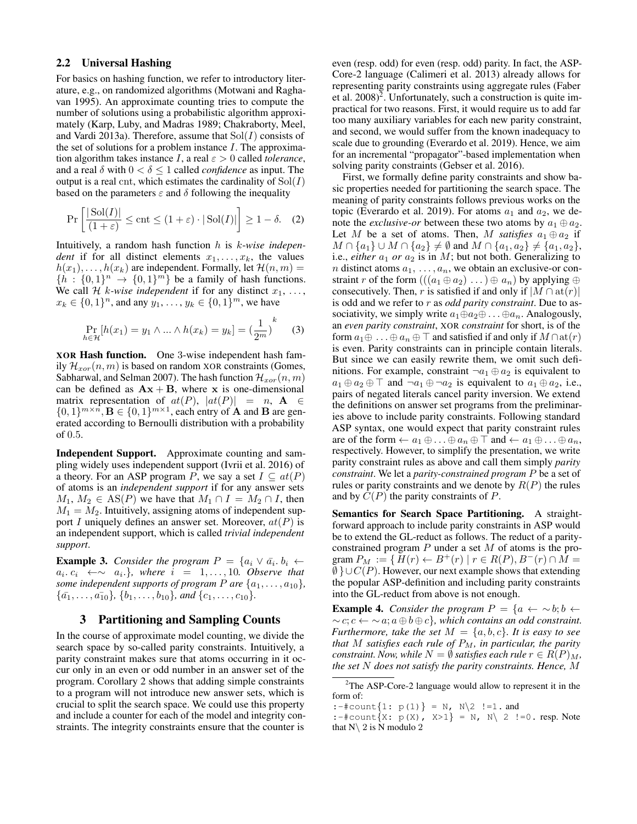# 2.2 Universal Hashing

For basics on hashing function, we refer to introductory literature, e.g., on randomized algorithms (Motwani and Raghavan 1995). An approximate counting tries to compute the number of solutions using a probabilistic algorithm approximately (Karp, Luby, and Madras 1989; Chakraborty, Meel, and Vardi 2013a). Therefore, assume that  $Sol(I)$  consists of the set of solutions for a problem instance  $I$ . The approximation algorithm takes instance I, a real  $\varepsilon > 0$  called *tolerance*, and a real  $\delta$  with  $0 < \delta \leq 1$  called *confidence* as input. The output is a real cnt, which estimates the cardinality of  $Sol(I)$ based on the parameters  $\varepsilon$  and  $\delta$  following the inequality

$$
\Pr\left[\frac{|\operatorname{Sol}(I)|}{(1+\varepsilon)} \le \operatorname{cnt} \le (1+\varepsilon) \cdot |\operatorname{Sol}(I)|\right] \ge 1-\delta. \quad (2)
$$

Intuitively, a random hash function h is k-*wise independent* if for all distinct elements  $x_1, \ldots, x_k$ , the values  $h(x_1), \ldots, h(x_k)$  are independent. Formally, let  $\mathcal{H}(n,m) =$  ${n \choose k}$  :  ${0, 1}^n \rightarrow {0, 1}^m$  be a family of hash functions. We call H k-wise independent if for any distinct  $x_1, \ldots,$  $x_k \in \{0, 1\}^n$ , and any  $y_1, \ldots, y_k \in \{0, 1\}^m$ , we have

$$
\Pr_{h \in \mathcal{H}}[h(x_1) = y_1 \wedge ... \wedge h(x_k) = y_k] = \left(\frac{1}{2^m}\right)^k \quad (3)
$$

XOR Hash function. One 3-wise independent hash family  $\mathcal{H}_{xor}(n, m)$  is based on random XOR constraints (Gomes, Sabharwal, and Selman 2007). The hash function  $\mathcal{H}_{xor}(n, m)$ can be defined as  $Ax + B$ , where x is one-dimensional matrix representation of  $at(P)$ ,  $|at(P)| = n$ ,  $A \in$  $\{0,1\}^{m \times n}$ ,  $\mathbf{B} \in \{0,1\}^{m \times 1}$ , each entry of **A** and **B** are generated according to Bernoulli distribution with a probability of 0.5.

Independent Support. Approximate counting and sampling widely uses independent support (Ivrii et al. 2016) of a theory. For an ASP program P, we say a set  $I \subseteq at(P)$ of atoms is an *independent support* if for any answer sets  $M_1, M_2 \in AS(P)$  we have that  $M_1 \cap I = M_2 \cap I$ , then  $M_1 = M_2$ . Intuitively, assigning atoms of independent support I uniquely defines an answer set. Moreover,  $at(P)$  is an independent support, which is called *trivial independent support*.

**Example 3.** *Consider the program*  $P = \{a_i \lor \bar{a_i}, b_i \leftarrow \}$  $a_i, c_i \leftrightarrow \sim a_i$ , where  $i = 1, \ldots, 10$ . Observe that *some independent supports of program*  $P$  *are*  $\{a_1, \ldots, a_{10}\}$ *,*  $\{\bar{a_1}, \ldots, \bar{a_{10}}\}, \{b_1, \ldots, b_{10}\}, \text{and } \{c_1, \ldots, c_{10}\}.$ 

#### 3 Partitioning and Sampling Counts

In the course of approximate model counting, we divide the search space by so-called parity constraints. Intuitively, a parity constraint makes sure that atoms occurring in it occur only in an even or odd number in an answer set of the program. Corollary 2 shows that adding simple constraints to a program will not introduce new answer sets, which is crucial to split the search space. We could use this property and include a counter for each of the model and integrity constraints. The integrity constraints ensure that the counter is

even (resp. odd) for even (resp. odd) parity. In fact, the ASP-Core-2 language (Calimeri et al. 2013) already allows for representing parity constraints using aggregate rules (Faber et al.  $2008$ <sup>2</sup>. Unfortunately, such a construction is quite impractical for two reasons. First, it would require us to add far too many auxiliary variables for each new parity constraint, and second, we would suffer from the known inadequacy to scale due to grounding (Everardo et al. 2019). Hence, we aim for an incremental "propagator"-based implementation when solving parity constraints (Gebser et al. 2016).

First, we formally define parity constraints and show basic properties needed for partitioning the search space. The meaning of parity constraints follows previous works on the topic (Everardo et al. 2019). For atoms  $a_1$  and  $a_2$ , we denote the *exclusive-or* between these two atoms by  $a_1 \oplus a_2$ . Let M be a set of atoms. Then, M *satisfies*  $a_1 \oplus a_2$  if  $M \cap \{a_1\} \cup M \cap \{a_2\} \neq \emptyset$  and  $M \cap \{a_1, a_2\} \neq \{a_1, a_2\},$ i.e., *either*  $a_1$  *or*  $a_2$  is in *M*; but not both. Generalizing to *n* distinct atoms  $a_1, \ldots, a_n$ , we obtain an exclusive-or constraint r of the form  $(((a_1 \oplus a_2) \dots) \oplus a_n)$  by applying  $\oplus$ consecutively. Then, r is satisfied if and only if  $|M \cap \text{at}(r)|$ is odd and we refer to r as *odd parity constraint*. Due to associativity, we simply write  $a_1 \oplus a_2 \oplus \ldots \oplus a_n$ . Analogously, an *even parity constraint*, XOR *constraint* for short, is of the form  $a_1 \oplus \ldots \oplus a_n \oplus \top$  and satisfied if and only if  $M \cap \text{at}(r)$ is even. Parity constraints can in principle contain literals. But since we can easily rewrite them, we omit such definitions. For example, constraint  $\neg a_1 \oplus a_2$  is equivalent to  $a_1 \oplus a_2 \oplus \top$  and  $\neg a_1 \oplus \neg a_2$  is equivalent to  $a_1 \oplus a_2$ , i.e., pairs of negated literals cancel parity inversion. We extend the definitions on answer set programs from the preliminaries above to include parity constraints. Following standard ASP syntax, one would expect that parity constraint rules are of the form  $\leftarrow a_1 \oplus \ldots \oplus a_n \oplus \top$  and  $\leftarrow a_1 \oplus \ldots \oplus a_n$ , respectively. However, to simplify the presentation, we write parity constraint rules as above and call them simply *parity constraint*. We let a *parity-constrained program* P be a set of rules or parity constraints and we denote by  $R(P)$  the rules and by  $C(P)$  the parity constraints of P.

Semantics for Search Space Partitioning. A straightforward approach to include parity constraints in ASP would be to extend the GL-reduct as follows. The reduct of a parityconstrained program  $P$  under a set  $M$  of atoms is the program  $P_M := \{ H(r) \leftarrow B^+(r) \mid r \in R(P), B^-(r) \cap M =$  $\emptyset$  }∪ $C(P)$ . However, our next example shows that extending the popular ASP-definition and including parity constraints into the GL-reduct from above is not enough.

**Example 4.** *Consider the program*  $P = \{a \leftarrow \sim b; b \leftarrow \}$  $\sim c$ ;  $c \leftarrow \sim a$ ;  $a \oplus b \oplus c$ }, which contains an odd constraint. *Furthermore, take the set*  $M = \{a, b, c\}$ *. It is easy to see that* M *satisfies each rule of*  $P_M$ *, in particular, the parity constraint. Now, while*  $N = \emptyset$  *satisfies each rule*  $r \in R(P)_M$ , *the set* N *does not satisfy the parity constraints. Hence,* M

<sup>2</sup>The ASP-Core-2 language would allow to represent it in the form of:

<sup>:-#</sup>count $\{1: p(1)\} = N$ ,  $N \ 2 \ \ \n!=1$ . and

<sup>:-#</sup>count $\{X: p(X), X>1\} = N$ ,  $N \setminus 2$  !=0. resp. Note that  $N\backslash 2$  is N modulo 2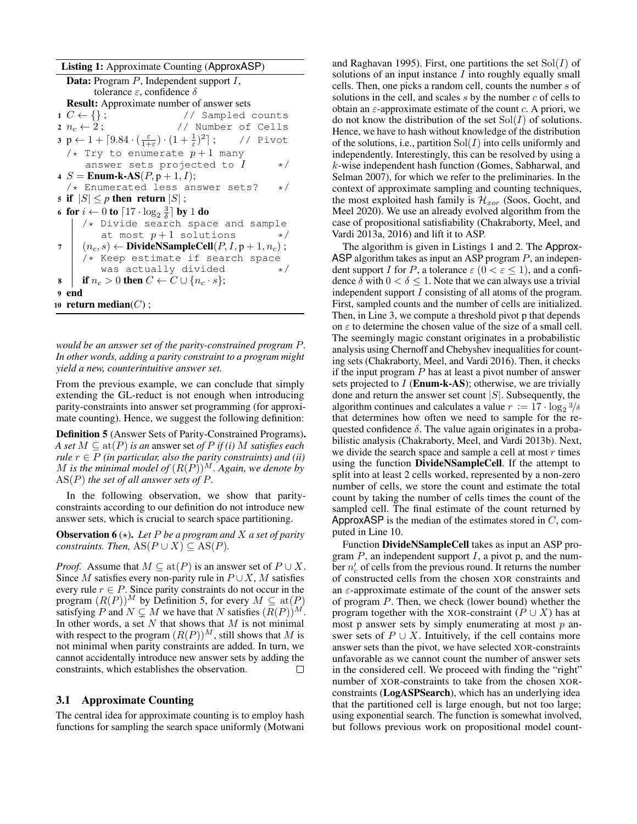Listing 1: Approximate Counting (ApproxASP) Data: Program P, Independent support I, tolerance  $ε$ , confidence  $δ$ **Result:** Approximate number of answer sets<br>1  $C \leftarrow \{\}$ ; // Sampled // Sampled counts 2  $n_c \leftarrow 2$ ; // Number of Cells  $\mathfrak{p} \leftarrow 1 + \lceil 9.84 \cdot (\frac{\varepsilon}{1+\varepsilon}) \cdot (1 + \frac{1}{\varepsilon})^2$ // Pivot /\* Try to enumerate  $p+1$  many answer sets projected to  $I \rightarrow \star/$ 4 S = **Enum-k-AS** $(P, p + 1, I);$ /\* Enumerated less answer sets? \*/ 5 if  $|S| \leq p$  then return  $|S|$ ; 6 for  $i \leftarrow 0$  to  $\lceil 17 \cdot \log_2 \frac{3}{\delta} \rceil$  by 1 do /\* Divide search space and sample at most  $p+1$  solutions 7  $(n_c, s) \leftarrow \text{DivideNSampleCell}(P, I, p+1, n_c);$  $/*$  Keep estimate if search space<br>was actually divided  $*/$ was actually divided 8 if  $n_c > 0$  then  $C \leftarrow C \cup \{n_c \cdot s\};$ <sup>9</sup> end 10 return median( $C$ );

*would be an answer set of the parity-constrained program* P*. In other words, adding a parity constraint to a program might yield a new, counterintuitive answer set.*

From the previous example, we can conclude that simply extending the GL-reduct is not enough when introducing parity-constraints into answer set programming (for approximate counting). Hence, we suggest the following definition:

Definition 5 (Answer Sets of Parity-Constrained Programs). *A set*  $M \subseteq \text{at}(P)$  *is an answer set of*  $P$  *if (i)*  $M$  *satisfies each rule*  $r \in P$  *(in particular, also the parity constraints) and (ii)*  $M$  is the minimal model of  $(R(P))^{M}$ . Again, we denote by AS(P) *the set of all answer sets of* P*.*

In the following observation, we show that parityconstraints according to our definition do not introduce new answer sets, which is crucial to search space partitioning.

**Observation 6** ( $\star$ ). Let P be a program and X a set of parity *constraints. Then,*  $AS(P \cup X) \subseteq AS(P)$ *.* 

*Proof.* Assume that  $M \subseteq \text{at}(P)$  is an answer set of  $P \cup X$ . Since M satisfies every non-parity rule in  $P \cup X$ , M satisfies every rule  $r \in P$ . Since parity constraints do not occur in the program  $(R(P))^M$  by Definition 5, for every  $M \subseteq \text{at}(P)$ satisfying P and  $N \subsetneq M$  we have that N satisfies  $(R(P))^{M}$ . In other words, a set  $N$  that shows that  $M$  is not minimal with respect to the program  $(R(P))^M$ , still shows that M is not minimal when parity constraints are added. In turn, we cannot accidentally introduce new answer sets by adding the constraints, which establishes the observation.  $\Box$ 

### 3.1 Approximate Counting

The central idea for approximate counting is to employ hash functions for sampling the search space uniformly (Motwani

and Raghavan 1995). First, one partitions the set  $Sol(I)$  of solutions of an input instance  $I$  into roughly equally small cells. Then, one picks a random cell, counts the number s of solutions in the cell, and scales  $s$  by the number  $c$  of cells to obtain an  $\varepsilon$ -approximate estimate of the count c. A priori, we do not know the distribution of the set  $Sol(I)$  of solutions. Hence, we have to hash without knowledge of the distribution of the solutions, i.e., partition  $Sol(I)$  into cells uniformly and independently. Interestingly, this can be resolved by using a k-wise independent hash function (Gomes, Sabharwal, and Selman 2007), for which we refer to the preliminaries. In the context of approximate sampling and counting techniques, the most exploited hash family is  $\mathcal{H}_{xor}$  (Soos, Gocht, and Meel 2020). We use an already evolved algorithm from the case of propositional satisfiability (Chakraborty, Meel, and Vardi 2013a, 2016) and lift it to ASP.

The algorithm is given in Listings 1 and 2. The Approx-ASP algorithm takes as input an ASP program  $P$ , an independent support I for P, a tolerance  $\varepsilon$   $(0 < \varepsilon \le 1)$ , and a confidence  $\delta$  with  $0 < \delta \leq 1$ . Note that we can always use a trivial independent support I consisting of all atoms of the program. First, sampled counts and the number of cells are initialized. Then, in Line 3, we compute a threshold pivot p that depends on  $\varepsilon$  to determine the chosen value of the size of a small cell. The seemingly magic constant originates in a probabilistic analysis using Chernoff and Chebyshev inequalities for counting sets (Chakraborty, Meel, and Vardi 2016). Then, it checks if the input program  $P$  has at least a pivot number of answer sets projected to  $I$  (**Enum-k-AS**); otherwise, we are trivially done and return the answer set count  $|S|$ . Subsequently, the algorithm continues and calculates a value  $r := 17 \cdot \log_2 3/\delta$ that determines how often we need to sample for the requested confidence  $\delta$ . The value again originates in a probabilistic analysis (Chakraborty, Meel, and Vardi 2013b). Next, we divide the search space and sample a cell at most  $r$  times using the function DivideNSampleCell. If the attempt to split into at least 2 cells worked, represented by a non-zero number of cells, we store the count and estimate the total count by taking the number of cells times the count of the sampled cell. The final estimate of the count returned by ApproxASP is the median of the estimates stored in  $C$ , computed in Line 10.

Function DivideNSampleCell takes as input an ASP program  $P$ , an independent support  $I$ , a pivot p, and the number  $n'_c$  of cells from the previous round. It returns the number of constructed cells from the chosen XOR constraints and an  $\varepsilon$ -approximate estimate of the count of the answer sets of program P. Then, we check (lower bound) whether the program together with the XOR-constraint ( $P \cup X$ ) has at most p answer sets by simply enumerating at most  $p$  answer sets of  $P \cup X$ . Intuitively, if the cell contains more answer sets than the pivot, we have selected XOR-constraints unfavorable as we cannot count the number of answer sets in the considered cell. We proceed with finding the "right" number of XOR-constraints to take from the chosen XORconstraints (LogASPSearch), which has an underlying idea that the partitioned cell is large enough, but not too large; using exponential search. The function is somewhat involved, but follows previous work on propositional model count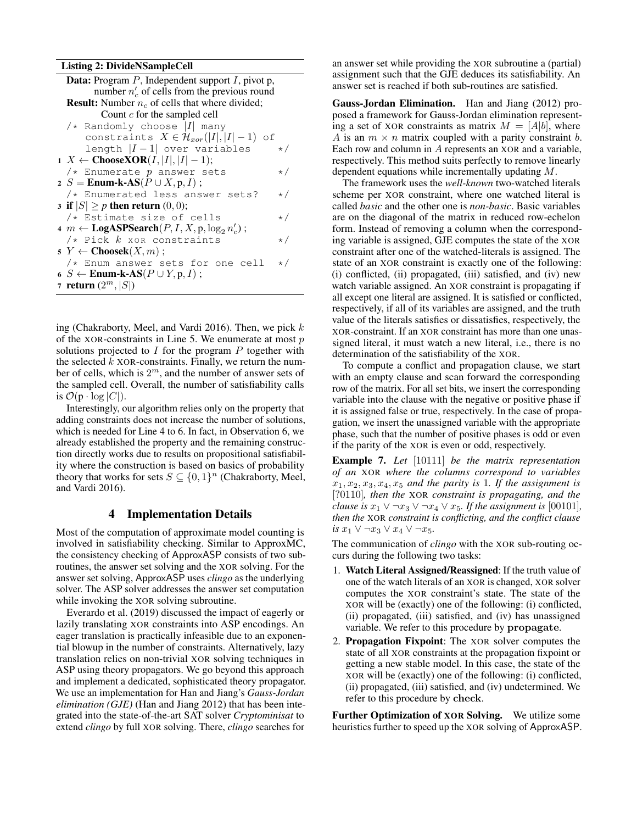Listing 2: DivideNSampleCell

| <b>Data:</b> Program $P$ , Independent support $I$ , pivot p,               |          |  |  |  |  |  |  |
|-----------------------------------------------------------------------------|----------|--|--|--|--|--|--|
| number $n'_c$ of cells from the previous round                              |          |  |  |  |  |  |  |
| <b>Result:</b> Number $n_c$ of cells that where divided;                    |          |  |  |  |  |  |  |
| Count $c$ for the sampled cell                                              |          |  |  |  |  |  |  |
| $\sqrt{\star}$ Randomly choose $ I $ many                                   |          |  |  |  |  |  |  |
| constraints $X \in \mathcal{H}_{xor}( I ,  I -1)$ of                        |          |  |  |  |  |  |  |
| length $ I - 1 $ over variables                                             | $\star/$ |  |  |  |  |  |  |
| 1 <i>X</i> ← <b>ChooseXOR</b> ( <i>I</i> ,   <i>I</i>  ,   <i>I</i>   − 1); |          |  |  |  |  |  |  |
| $/*$ Enumerate p answer sets                                                | $\star/$ |  |  |  |  |  |  |
| 2 S = Enum-k-AS( $P \cup X, p, I$ );                                        |          |  |  |  |  |  |  |
| /* Enumerated less answer sets?                                             | $\star/$ |  |  |  |  |  |  |
| 3 if $ S  \geq p$ then return $(0, 0)$ ;                                    |          |  |  |  |  |  |  |
| /* Estimate size of cells                                                   | $\star/$ |  |  |  |  |  |  |
| 4 $m \leftarrow \text{LogASPSearch}(P, I, X, p, \log_2 n'_c);$              |          |  |  |  |  |  |  |
| $/*$ Pick $k$ xor constraints                                               | $\star/$ |  |  |  |  |  |  |
| $\mathfrak{s} Y \leftarrow \mathbf{Choosek}(X,m);$                          |          |  |  |  |  |  |  |
| /* Enum answer sets for one cell                                            | $\star/$ |  |  |  |  |  |  |
| 6 S $\leftarrow$ Enum-k-AS( $P \cup Y, p, I)$ ;                             |          |  |  |  |  |  |  |
| 7 <b>return</b> $(2^m,  S )$                                                |          |  |  |  |  |  |  |

ing (Chakraborty, Meel, and Vardi 2016). Then, we pick  $k$ of the XOR-constraints in Line 5. We enumerate at most  $p$ solutions projected to  $I$  for the program  $P$  together with the selected  $k$  XOR-constraints. Finally, we return the number of cells, which is  $2^m$ , and the number of answer sets of the sampled cell. Overall, the number of satisfiability calls is  $\mathcal{O}(p \cdot \log |C|)$ .

Interestingly, our algorithm relies only on the property that adding constraints does not increase the number of solutions, which is needed for Line 4 to 6. In fact, in Observation 6, we already established the property and the remaining construction directly works due to results on propositional satisfiability where the construction is based on basics of probability theory that works for sets  $S \subseteq \{0,1\}^n$  (Chakraborty, Meel, and Vardi 2016).

# 4 Implementation Details

Most of the computation of approximate model counting is involved in satisfiability checking. Similar to ApproxMC, the consistency checking of ApproxASP consists of two subroutines, the answer set solving and the XOR solving. For the answer set solving, ApproxASP uses *clingo* as the underlying solver. The ASP solver addresses the answer set computation while invoking the XOR solving subroutine.

Everardo et al. (2019) discussed the impact of eagerly or lazily translating XOR constraints into ASP encodings. An eager translation is practically infeasible due to an exponential blowup in the number of constraints. Alternatively, lazy translation relies on non-trivial XOR solving techniques in ASP using theory propagators. We go beyond this approach and implement a dedicated, sophisticated theory propagator. We use an implementation for Han and Jiang's *Gauss-Jordan elimination (GJE)* (Han and Jiang 2012) that has been integrated into the state-of-the-art SAT solver *Cryptominisat* to extend *clingo* by full XOR solving. There, *clingo* searches for

an answer set while providing the XOR subroutine a (partial) assignment such that the GJE deduces its satisfiability. An answer set is reached if both sub-routines are satisfied.

Gauss-Jordan Elimination. Han and Jiang (2012) proposed a framework for Gauss-Jordan elimination representing a set of XOR constraints as matrix  $M = [A|b]$ , where A is an  $m \times n$  matrix coupled with a parity constraint b. Each row and column in A represents an XOR and a variable, respectively. This method suits perfectly to remove linearly dependent equations while incrementally updating M.

The framework uses the *well-known* two-watched literals scheme per XOR constraint, where one watched literal is called *basic* and the other one is *non-basic*. Basic variables are on the diagonal of the matrix in reduced row-echelon form. Instead of removing a column when the corresponding variable is assigned, GJE computes the state of the XOR constraint after one of the watched-literals is assigned. The state of an XOR constraint is exactly one of the following: (i) conflicted, (ii) propagated, (iii) satisfied, and (iv) new watch variable assigned. An XOR constraint is propagating if all except one literal are assigned. It is satisfied or conflicted, respectively, if all of its variables are assigned, and the truth value of the literals satisfies or dissatisfies, respectively, the XOR-constraint. If an XOR constraint has more than one unassigned literal, it must watch a new literal, i.e., there is no determination of the satisfiability of the XOR.

To compute a conflict and propagation clause, we start with an empty clause and scan forward the corresponding row of the matrix. For all set bits, we insert the corresponding variable into the clause with the negative or positive phase if it is assigned false or true, respectively. In the case of propagation, we insert the unassigned variable with the appropriate phase, such that the number of positive phases is odd or even if the parity of the XOR is even or odd, respectively.

Example 7. *Let* [10111] *be the matrix representation of an* XOR *where the columns correspond to variables*  $x_1, x_2, x_3, x_4, x_5$  *and the parity is* 1*. If the assignment is* [?0110]*, then the* XOR *constraint is propagating, and the clause is*  $x_1 \vee \neg x_3 \vee \neg x_4 \vee x_5$ *. If the assignment is* [00101]*, then the* XOR *constraint is conflicting, and the conflict clause is*  $x_1$  ∨ ¬ $x_3$  ∨  $x_4$  ∨ ¬ $x_5$ .

The communication of *clingo* with the XOR sub-routing occurs during the following two tasks:

- 1. Watch Literal Assigned/Reassigned: If the truth value of one of the watch literals of an XOR is changed, XOR solver computes the XOR constraint's state. The state of the XOR will be (exactly) one of the following: (i) conflicted, (ii) propagated, (iii) satisfied, and (iv) has unassigned variable. We refer to this procedure by propagate.
- 2. Propagation Fixpoint: The XOR solver computes the state of all XOR constraints at the propagation fixpoint or getting a new stable model. In this case, the state of the XOR will be (exactly) one of the following: (i) conflicted, (ii) propagated, (iii) satisfied, and (iv) undetermined. We refer to this procedure by check.

Further Optimization of XOR Solving. We utilize some heuristics further to speed up the XOR solving of ApproxASP.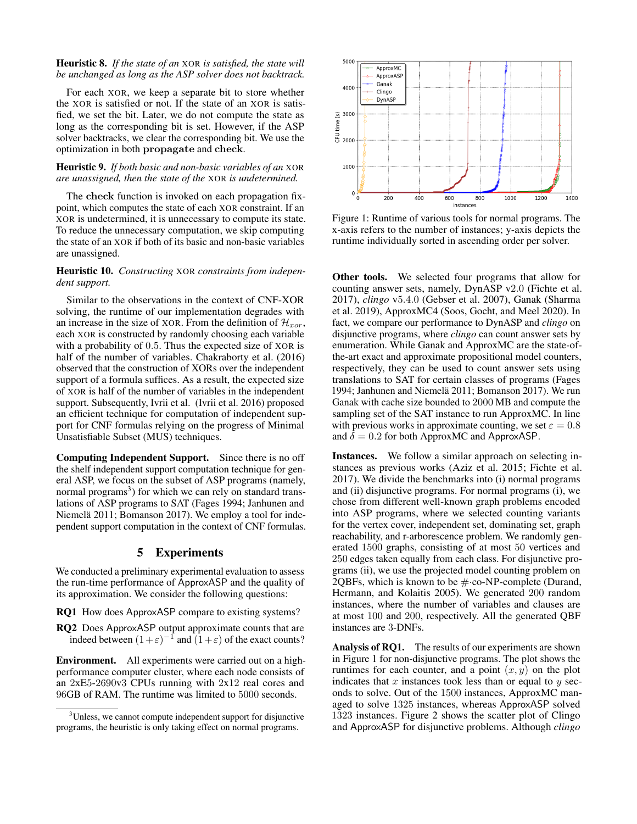### Heuristic 8. *If the state of an* XOR *is satisfied, the state will be unchanged as long as the ASP solver does not backtrack.*

For each XOR, we keep a separate bit to store whether the XOR is satisfied or not. If the state of an XOR is satisfied, we set the bit. Later, we do not compute the state as long as the corresponding bit is set. However, if the ASP solver backtracks, we clear the corresponding bit. We use the optimization in both propagate and check.

### Heuristic 9. *If both basic and non-basic variables of an* XOR *are unassigned, then the state of the* XOR *is undetermined.*

The check function is invoked on each propagation fixpoint, which computes the state of each XOR constraint. If an XOR is undetermined, it is unnecessary to compute its state. To reduce the unnecessary computation, we skip computing the state of an XOR if both of its basic and non-basic variables are unassigned.

#### Heuristic 10. *Constructing* XOR *constraints from independent support.*

Similar to the observations in the context of CNF-XOR solving, the runtime of our implementation degrades with an increase in the size of XOR. From the definition of  $\mathcal{H}_{xor}$ , each XOR is constructed by randomly choosing each variable with a probability of 0.5. Thus the expected size of XOR is half of the number of variables. Chakraborty et al. (2016) observed that the construction of XORs over the independent support of a formula suffices. As a result, the expected size of XOR is half of the number of variables in the independent support. Subsequently, Ivrii et al. (Ivrii et al. 2016) proposed an efficient technique for computation of independent support for CNF formulas relying on the progress of Minimal Unsatisfiable Subset (MUS) techniques.

Computing Independent Support. Since there is no off the shelf independent support computation technique for general ASP, we focus on the subset of ASP programs (namely, normal programs<sup>3</sup>) for which we can rely on standard translations of ASP programs to SAT (Fages 1994; Janhunen and Niemelä 2011; Bomanson 2017). We employ a tool for independent support computation in the context of CNF formulas.

## 5 Experiments

We conducted a preliminary experimental evaluation to assess the run-time performance of ApproxASP and the quality of its approximation. We consider the following questions:

- RQ1 How does ApproxASP compare to existing systems?
- RQ2 Does ApproxASP output approximate counts that are indeed between  $(1+\varepsilon)^{-1}$  and  $(1+\varepsilon)$  of the exact counts?

Environment. All experiments were carried out on a highperformance computer cluster, where each node consists of an 2xE5-2690v3 CPUs running with 2x12 real cores and 96GB of RAM. The runtime was limited to 5000 seconds.



Figure 1: Runtime of various tools for normal programs. The x-axis refers to the number of instances; y-axis depicts the runtime individually sorted in ascending order per solver.

Other tools. We selected four programs that allow for counting answer sets, namely, DynASP v2.0 (Fichte et al. 2017), *clingo* v5.4.0 (Gebser et al. 2007), Ganak (Sharma et al. 2019), ApproxMC4 (Soos, Gocht, and Meel 2020). In fact, we compare our performance to DynASP and *clingo* on disjunctive programs, where *clingo* can count answer sets by enumeration. While Ganak and ApproxMC are the state-ofthe-art exact and approximate propositional model counters, respectively, they can be used to count answer sets using translations to SAT for certain classes of programs (Fages 1994; Janhunen and Niemelä 2011; Bomanson 2017). We run Ganak with cache size bounded to 2000 MB and compute the sampling set of the SAT instance to run ApproxMC. In line with previous works in approximate counting, we set  $\varepsilon = 0.8$ and  $\delta = 0.2$  for both ApproxMC and ApproxASP.

Instances. We follow a similar approach on selecting instances as previous works (Aziz et al. 2015; Fichte et al. 2017). We divide the benchmarks into (i) normal programs and (ii) disjunctive programs. For normal programs (i), we chose from different well-known graph problems encoded into ASP programs, where we selected counting variants for the vertex cover, independent set, dominating set, graph reachability, and r-arborescence problem. We randomly generated 1500 graphs, consisting of at most 50 vertices and 250 edges taken equally from each class. For disjunctive programs (ii), we use the projected model counting problem on 2QBFs, which is known to be  $\#$  co-NP-complete (Durand, Hermann, and Kolaitis 2005). We generated 200 random instances, where the number of variables and clauses are at most 100 and 200, respectively. All the generated QBF instances are 3-DNFs.

Analysis of RQ1. The results of our experiments are shown in Figure 1 for non-disjunctive programs. The plot shows the runtimes for each counter, and a point  $(x, y)$  on the plot indicates that  $x$  instances took less than or equal to  $y$  seconds to solve. Out of the 1500 instances, ApproxMC managed to solve 1325 instances, whereas ApproxASP solved 1323 instances. Figure 2 shows the scatter plot of Clingo and ApproxASP for disjunctive problems. Although *clingo*

<sup>&</sup>lt;sup>3</sup>Unless, we cannot compute independent support for disjunctive programs, the heuristic is only taking effect on normal programs.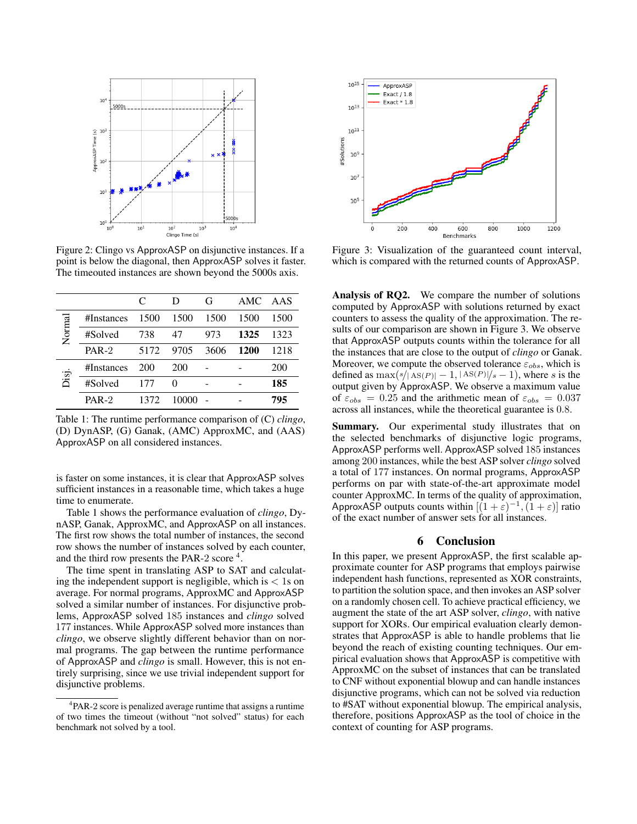

Figure 2: Clingo vs ApproxASP on disjunctive instances. If a point is below the diagonal, then ApproxASP solves it faster. The timeouted instances are shown beyond the 5000s axis.

|       |            | C    | D     | G    | AMC. | AAS  |
|-------|------------|------|-------|------|------|------|
|       | #Instances | 1500 | 1500  | 1500 | 1500 | 1500 |
| Norma | #Solved    | 738  | 47    | 973  | 1325 | 1323 |
|       | $PAR-2$    | 5172 | 9705  | 3606 | 1200 | 1218 |
|       | #Instances | 200  | 200   |      |      | 200  |
| Cisi  | #Solved    | 177  | 0     |      |      | 185  |
|       | $PAR-2$    | 1372 | 10000 |      |      | 795  |

Table 1: The runtime performance comparison of (C) *clingo*, (D) DynASP, (G) Ganak, (AMC) ApproxMC, and (AAS) ApproxASP on all considered instances.

is faster on some instances, it is clear that ApproxASP solves sufficient instances in a reasonable time, which takes a huge time to enumerate.

Table 1 shows the performance evaluation of *clingo*, DynASP, Ganak, ApproxMC, and ApproxASP on all instances. The first row shows the total number of instances, the second row shows the number of instances solved by each counter, and the third row presents the PAR-2 score<sup>4</sup>.

The time spent in translating ASP to SAT and calculating the independent support is negligible, which is  $\langle 1$  s on average. For normal programs, ApproxMC and ApproxASP solved a similar number of instances. For disjunctive problems, ApproxASP solved 185 instances and *clingo* solved 177 instances. While ApproxASP solved more instances than *clingo*, we observe slightly different behavior than on normal programs. The gap between the runtime performance of ApproxASP and *clingo* is small. However, this is not entirely surprising, since we use trivial independent support for disjunctive problems.



Figure 3: Visualization of the guaranteed count interval, which is compared with the returned counts of ApproxASP.

Analysis of RQ2. We compare the number of solutions computed by ApproxASP with solutions returned by exact counters to assess the quality of the approximation. The results of our comparison are shown in Figure 3. We observe that ApproxASP outputs counts within the tolerance for all the instances that are close to the output of *clingo* or Ganak. Moreover, we compute the observed tolerance  $\varepsilon_{obs}$ , which is defined as  $\max(s/|\text{AS}(P)|-1, |\text{AS}(P)|/s-1)$ , where s is the output given by ApproxASP. We observe a maximum value of  $\varepsilon_{obs} = 0.25$  and the arithmetic mean of  $\varepsilon_{obs} = 0.037$ across all instances, while the theoretical guarantee is 0.8.

Summary. Our experimental study illustrates that on the selected benchmarks of disjunctive logic programs, ApproxASP performs well. ApproxASP solved 185 instances among 200 instances, while the best ASP solver *clingo* solved a total of 177 instances. On normal programs, ApproxASP performs on par with state-of-the-art approximate model counter ApproxMC. In terms of the quality of approximation, ApproxASP outputs counts within  $[(1+\varepsilon)^{-1}, (1+\varepsilon)]$  ratio of the exact number of answer sets for all instances.

## 6 Conclusion

In this paper, we present ApproxASP, the first scalable approximate counter for ASP programs that employs pairwise independent hash functions, represented as XOR constraints, to partition the solution space, and then invokes an ASP solver on a randomly chosen cell. To achieve practical efficiency, we augment the state of the art ASP solver, *clingo*, with native support for XORs. Our empirical evaluation clearly demonstrates that ApproxASP is able to handle problems that lie beyond the reach of existing counting techniques. Our empirical evaluation shows that ApproxASP is competitive with ApproxMC on the subset of instances that can be translated to CNF without exponential blowup and can handle instances disjunctive programs, which can not be solved via reduction to #SAT without exponential blowup. The empirical analysis, therefore, positions ApproxASP as the tool of choice in the context of counting for ASP programs.

<sup>4</sup> PAR-2 score is penalized average runtime that assigns a runtime of two times the timeout (without "not solved" status) for each benchmark not solved by a tool.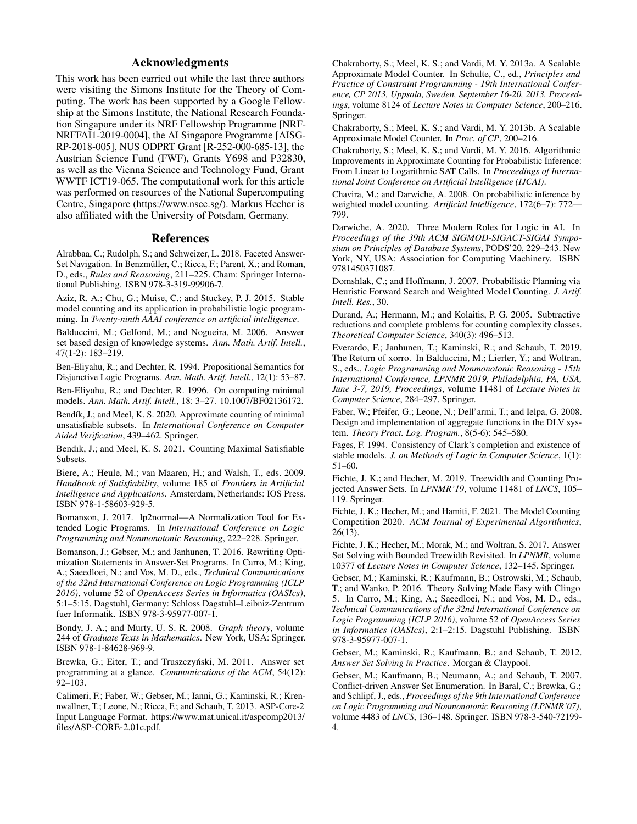# Acknowledgments

This work has been carried out while the last three authors were visiting the Simons Institute for the Theory of Computing. The work has been supported by a Google Fellowship at the Simons Institute, the National Research Foundation Singapore under its NRF Fellowship Programme [NRF-NRFFAI1-2019-0004], the AI Singapore Programme [AISG-RP-2018-005], NUS ODPRT Grant [R-252-000-685-13], the Austrian Science Fund (FWF), Grants Y698 and P32830, as well as the Vienna Science and Technology Fund, Grant WWTF ICT19-065. The computational work for this article was performed on resources of the National Supercomputing Centre, Singapore (https://www.nscc.sg/). Markus Hecher is also affiliated with the University of Potsdam, Germany.

### References

Alrabbaa, C.; Rudolph, S.; and Schweizer, L. 2018. Faceted Answer-Set Navigation. In Benzmüller, C.; Ricca, F.; Parent, X.; and Roman, D., eds., *Rules and Reasoning*, 211–225. Cham: Springer International Publishing. ISBN 978-3-319-99906-7.

Aziz, R. A.; Chu, G.; Muise, C.; and Stuckey, P. J. 2015. Stable model counting and its application in probabilistic logic programming. In *Twenty-ninth AAAI conference on artificial intelligence*.

Balduccini, M.; Gelfond, M.; and Nogueira, M. 2006. Answer set based design of knowledge systems. *Ann. Math. Artif. Intell.*, 47(1-2): 183–219.

Ben-Eliyahu, R.; and Dechter, R. 1994. Propositional Semantics for Disjunctive Logic Programs. *Ann. Math. Artif. Intell.*, 12(1): 53–87.

Ben-Eliyahu, R.; and Dechter, R. 1996. On computing minimal models. *Ann. Math. Artif. Intell.*, 18: 3–27. 10.1007/BF02136172.

Bendík, J.; and Meel, K. S. 2020. Approximate counting of minimal unsatisfiable subsets. In *International Conference on Computer Aided Verification*, 439–462. Springer.

Bendık, J.; and Meel, K. S. 2021. Counting Maximal Satisfiable Subsets.

Biere, A.; Heule, M.; van Maaren, H.; and Walsh, T., eds. 2009. *Handbook of Satisfiability*, volume 185 of *Frontiers in Artificial Intelligence and Applications*. Amsterdam, Netherlands: IOS Press. ISBN 978-1-58603-929-5.

Bomanson, J. 2017. lp2normal—A Normalization Tool for Extended Logic Programs. In *International Conference on Logic Programming and Nonmonotonic Reasoning*, 222–228. Springer.

Bomanson, J.; Gebser, M.; and Janhunen, T. 2016. Rewriting Optimization Statements in Answer-Set Programs. In Carro, M.; King, A.; Saeedloei, N.; and Vos, M. D., eds., *Technical Communications of the 32nd International Conference on Logic Programming (ICLP 2016)*, volume 52 of *OpenAccess Series in Informatics (OASIcs)*, 5:1–5:15. Dagstuhl, Germany: Schloss Dagstuhl–Leibniz-Zentrum fuer Informatik. ISBN 978-3-95977-007-1.

Bondy, J. A.; and Murty, U. S. R. 2008. *Graph theory*, volume 244 of *Graduate Texts in Mathematics*. New York, USA: Springer. ISBN 978-1-84628-969-9.

Brewka, G.; Eiter, T.; and Truszczyński, M. 2011. Answer set programming at a glance. *Communications of the ACM*, 54(12): 92–103.

Calimeri, F.; Faber, W.; Gebser, M.; Ianni, G.; Kaminski, R.; Krennwallner, T.; Leone, N.; Ricca, F.; and Schaub, T. 2013. ASP-Core-2 Input Language Format. https://www.mat.unical.it/aspcomp2013/ files/ASP-CORE-2.01c.pdf.

Chakraborty, S.; Meel, K. S.; and Vardi, M. Y. 2013a. A Scalable Approximate Model Counter. In Schulte, C., ed., *Principles and Practice of Constraint Programming - 19th International Conference, CP 2013, Uppsala, Sweden, September 16-20, 2013. Proceedings*, volume 8124 of *Lecture Notes in Computer Science*, 200–216. Springer.

Chakraborty, S.; Meel, K. S.; and Vardi, M. Y. 2013b. A Scalable Approximate Model Counter. In *Proc. of CP*, 200–216.

Chakraborty, S.; Meel, K. S.; and Vardi, M. Y. 2016. Algorithmic Improvements in Approximate Counting for Probabilistic Inference: From Linear to Logarithmic SAT Calls. In *Proceedings of International Joint Conference on Artificial Intelligence (IJCAI)*.

Chavira, M.; and Darwiche, A. 2008. On probabilistic inference by weighted model counting. *Artificial Intelligence*, 172(6–7): 772— 799.

Darwiche, A. 2020. Three Modern Roles for Logic in AI. In *Proceedings of the 39th ACM SIGMOD-SIGACT-SIGAI Symposium on Principles of Database Systems*, PODS'20, 229–243. New York, NY, USA: Association for Computing Machinery. ISBN 9781450371087.

Domshlak, C.; and Hoffmann, J. 2007. Probabilistic Planning via Heuristic Forward Search and Weighted Model Counting. *J. Artif. Intell. Res.*, 30.

Durand, A.; Hermann, M.; and Kolaitis, P. G. 2005. Subtractive reductions and complete problems for counting complexity classes. *Theoretical Computer Science*, 340(3): 496–513.

Everardo, F.; Janhunen, T.; Kaminski, R.; and Schaub, T. 2019. The Return of xorro. In Balduccini, M.; Lierler, Y.; and Woltran, S., eds., *Logic Programming and Nonmonotonic Reasoning - 15th International Conference, LPNMR 2019, Philadelphia, PA, USA, June 3-7, 2019, Proceedings*, volume 11481 of *Lecture Notes in Computer Science*, 284–297. Springer.

Faber, W.; Pfeifer, G.; Leone, N.; Dell'armi, T.; and Ielpa, G. 2008. Design and implementation of aggregate functions in the DLV system. *Theory Pract. Log. Program.*, 8(5-6): 545–580.

Fages, F. 1994. Consistency of Clark's completion and existence of stable models. *J. on Methods of Logic in Computer Science*, 1(1): 51–60.

Fichte, J. K.; and Hecher, M. 2019. Treewidth and Counting Projected Answer Sets. In *LPNMR'19*, volume 11481 of *LNCS*, 105– 119. Springer.

Fichte, J. K.; Hecher, M.; and Hamiti, F. 2021. The Model Counting Competition 2020. *ACM Journal of Experimental Algorithmics*, 26(13).

Fichte, J. K.; Hecher, M.; Morak, M.; and Woltran, S. 2017. Answer Set Solving with Bounded Treewidth Revisited. In *LPNMR*, volume 10377 of *Lecture Notes in Computer Science*, 132–145. Springer.

Gebser, M.; Kaminski, R.; Kaufmann, B.; Ostrowski, M.; Schaub, T.; and Wanko, P. 2016. Theory Solving Made Easy with Clingo 5. In Carro, M.; King, A.; Saeedloei, N.; and Vos, M. D., eds., *Technical Communications of the 32nd International Conference on Logic Programming (ICLP 2016)*, volume 52 of *OpenAccess Series in Informatics (OASIcs)*, 2:1–2:15. Dagstuhl Publishing. ISBN 978-3-95977-007-1.

Gebser, M.; Kaminski, R.; Kaufmann, B.; and Schaub, T. 2012. *Answer Set Solving in Practice*. Morgan & Claypool.

Gebser, M.; Kaufmann, B.; Neumann, A.; and Schaub, T. 2007. Conflict-driven Answer Set Enumeration. In Baral, C.; Brewka, G.; and Schlipf, J., eds., *Proceedings of the 9th International Conference on Logic Programming and Nonmonotonic Reasoning (LPNMR'07)*, volume 4483 of *LNCS*, 136–148. Springer. ISBN 978-3-540-72199- 4.